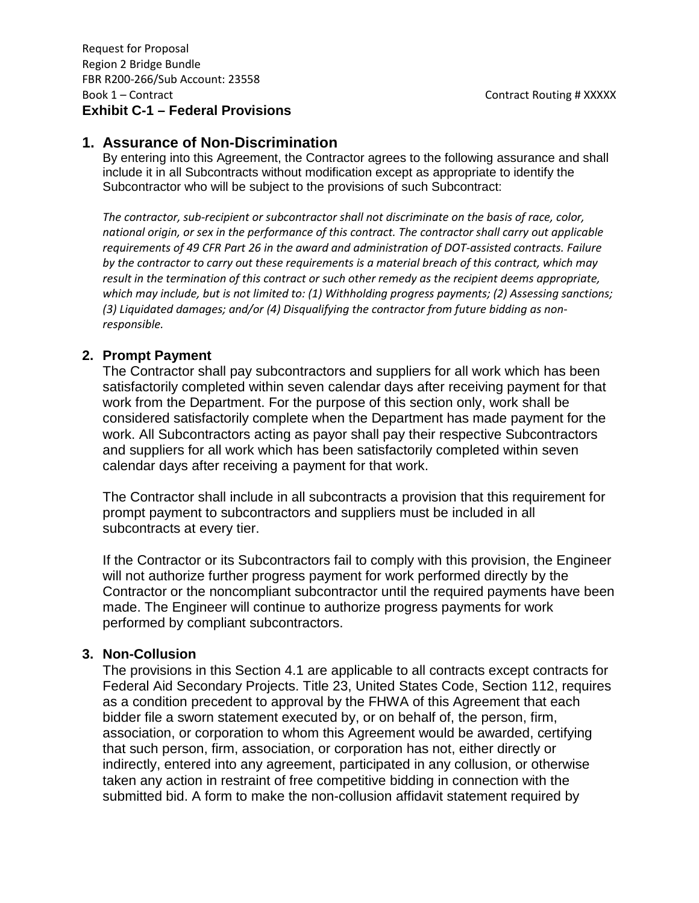## **1. Assurance of Non-Discrimination**

By entering into this Agreement, the Contractor agrees to the following assurance and shall include it in all Subcontracts without modification except as appropriate to identify the Subcontractor who will be subject to the provisions of such Subcontract:

*The contractor, sub-recipient or subcontractor shall not discriminate on the basis of race, color, national origin, or sex in the performance of this contract. The contractor shall carry out applicable requirements of 49 CFR Part 26 in the award and administration of DOT-assisted contracts. Failure by the contractor to carry out these requirements is a material breach of this contract, which may result in the termination of this contract or such other remedy as the recipient deems appropriate, which may include, but is not limited to: (1) Withholding progress payments; (2) Assessing sanctions; (3) Liquidated damages; and/or (4) Disqualifying the contractor from future bidding as nonresponsible.*

#### **2. Prompt Payment**

The Contractor shall pay subcontractors and suppliers for all work which has been satisfactorily completed within seven calendar days after receiving payment for that work from the Department. For the purpose of this section only, work shall be considered satisfactorily complete when the Department has made payment for the work. All Subcontractors acting as payor shall pay their respective Subcontractors and suppliers for all work which has been satisfactorily completed within seven calendar days after receiving a payment for that work.

The Contractor shall include in all subcontracts a provision that this requirement for prompt payment to subcontractors and suppliers must be included in all subcontracts at every tier.

If the Contractor or its Subcontractors fail to comply with this provision, the Engineer will not authorize further progress payment for work performed directly by the Contractor or the noncompliant subcontractor until the required payments have been made. The Engineer will continue to authorize progress payments for work performed by compliant subcontractors.

#### **3. Non-Collusion**

The provisions in this Section 4.1 are applicable to all contracts except contracts for Federal Aid Secondary Projects. Title 23, United States Code, Section 112, requires as a condition precedent to approval by the FHWA of this Agreement that each bidder file a sworn statement executed by, or on behalf of, the person, firm, association, or corporation to whom this Agreement would be awarded, certifying that such person, firm, association, or corporation has not, either directly or indirectly, entered into any agreement, participated in any collusion, or otherwise taken any action in restraint of free competitive bidding in connection with the submitted bid. A form to make the non-collusion affidavit statement required by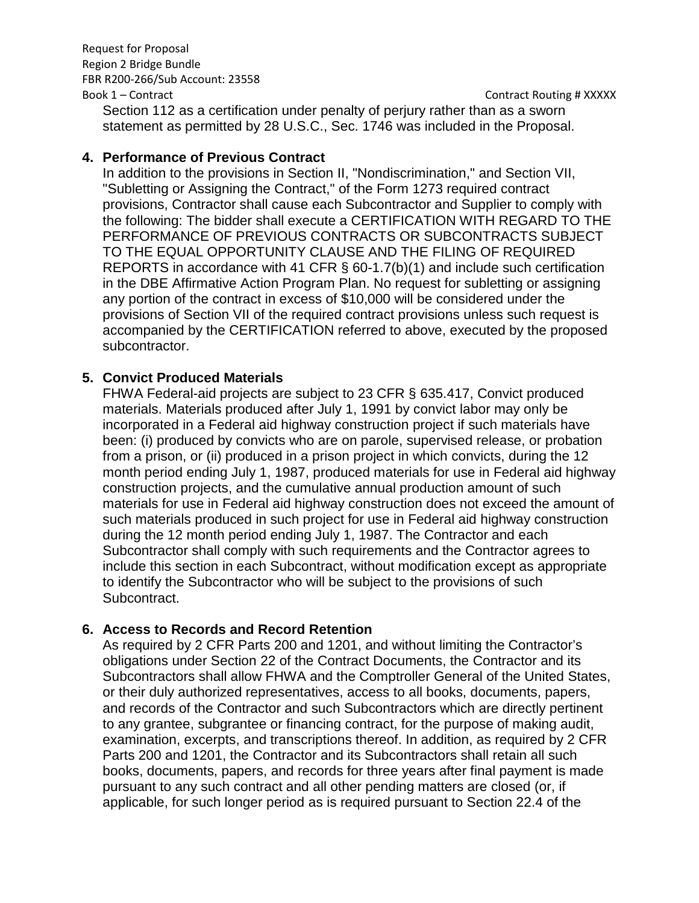## Request for Proposal Region 2 Bridge Bundle FBR R200-266/Sub Account: 23558

Book 1 – Contract Contract Contract Routing # XXXXX

Section 112 as a certification under penalty of perjury rather than as a sworn statement as permitted by 28 U.S.C., Sec. 1746 was included in the Proposal.

## **4. Performance of Previous Contract**

In addition to the provisions in Section II, "Nondiscrimination," and Section VII, "Subletting or Assigning the Contract," of the Form 1273 required contract provisions, Contractor shall cause each Subcontractor and Supplier to comply with the following: The bidder shall execute a CERTIFICATION WITH REGARD TO THE PERFORMANCE OF PREVIOUS CONTRACTS OR SUBCONTRACTS SUBJECT TO THE EQUAL OPPORTUNITY CLAUSE AND THE FILING OF REQUIRED REPORTS in accordance with 41 CFR § 60-1.7(b)(1) and include such certification in the DBE Affirmative Action Program Plan. No request for subletting or assigning any portion of the contract in excess of \$10,000 will be considered under the provisions of Section VII of the required contract provisions unless such request is accompanied by the CERTIFICATION referred to above, executed by the proposed subcontractor.

#### **5. Convict Produced Materials**

FHWA Federal-aid projects are subject to 23 CFR § 635.417, Convict produced materials. Materials produced after July 1, 1991 by convict labor may only be incorporated in a Federal aid highway construction project if such materials have been: (i) produced by convicts who are on parole, supervised release, or probation from a prison, or (ii) produced in a prison project in which convicts, during the 12 month period ending July 1, 1987, produced materials for use in Federal aid highway construction projects, and the cumulative annual production amount of such materials for use in Federal aid highway construction does not exceed the amount of such materials produced in such project for use in Federal aid highway construction during the 12 month period ending July 1, 1987. The Contractor and each Subcontractor shall comply with such requirements and the Contractor agrees to include this section in each Subcontract, without modification except as appropriate to identify the Subcontractor who will be subject to the provisions of such Subcontract.

# **6. Access to Records and Record Retention**

As required by 2 CFR Parts 200 and 1201, and without limiting the Contractor's obligations under Section 22 of the Contract Documents, the Contractor and its Subcontractors shall allow FHWA and the Comptroller General of the United States, or their duly authorized representatives, access to all books, documents, papers, and records of the Contractor and such Subcontractors which are directly pertinent to any grantee, subgrantee or financing contract, for the purpose of making audit, examination, excerpts, and transcriptions thereof. In addition, as required by 2 CFR Parts 200 and 1201, the Contractor and its Subcontractors shall retain all such books, documents, papers, and records for three years after final payment is made pursuant to any such contract and all other pending matters are closed (or, if applicable, for such longer period as is required pursuant to Section 22.4 of the